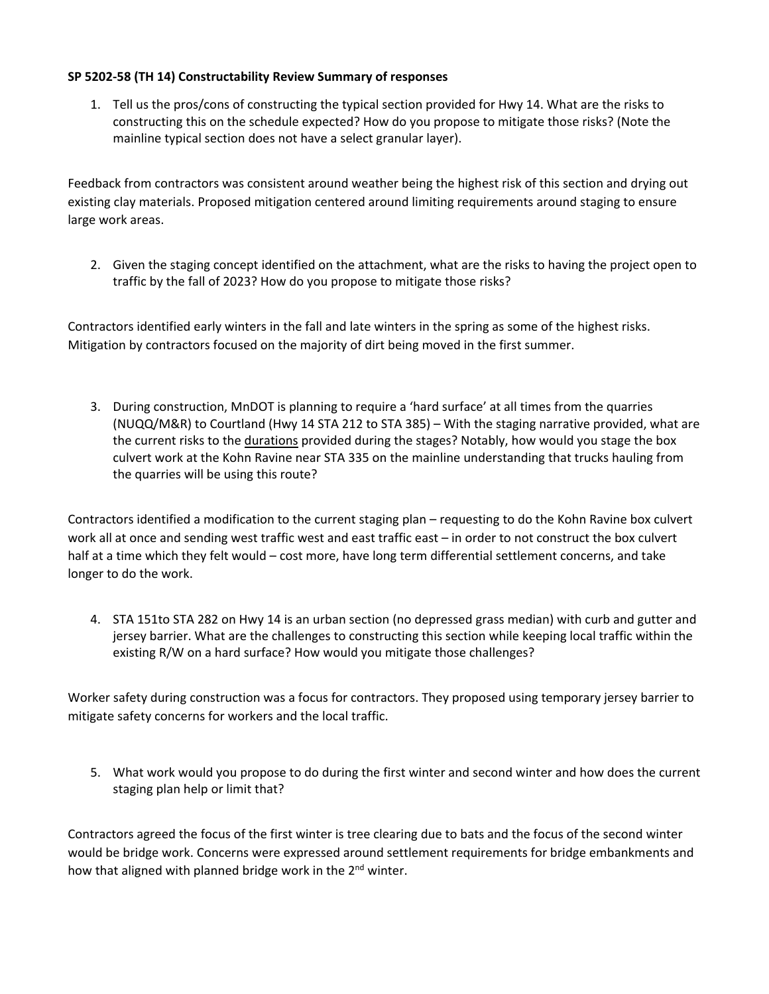## **SP 5202-58 (TH 14) Constructability Review Summary of responses**

1. Tell us the pros/cons of constructing the typical section provided for Hwy 14. What are the risks to constructing this on the schedule expected? How do you propose to mitigate those risks? (Note the mainline typical section does not have a select granular layer).

Feedback from contractors was consistent around weather being the highest risk of this section and drying out existing clay materials. Proposed mitigation centered around limiting requirements around staging to ensure large work areas.

2. Given the staging concept identified on the attachment, what are the risks to having the project open to traffic by the fall of 2023? How do you propose to mitigate those risks?

Contractors identified early winters in the fall and late winters in the spring as some of the highest risks. Mitigation by contractors focused on the majority of dirt being moved in the first summer.

3. During construction, MnDOT is planning to require a 'hard surface' at all times from the quarries (NUQQ/M&R) to Courtland (Hwy 14 STA 212 to STA 385) – With the staging narrative provided, what are the current risks to the durations provided during the stages? Notably, how would you stage the box culvert work at the Kohn Ravine near STA 335 on the mainline understanding that trucks hauling from the quarries will be using this route?

Contractors identified a modification to the current staging plan – requesting to do the Kohn Ravine box culvert work all at once and sending west traffic west and east traffic east – in order to not construct the box culvert half at a time which they felt would – cost more, have long term differential settlement concerns, and take longer to do the work.

4. STA 151to STA 282 on Hwy 14 is an urban section (no depressed grass median) with curb and gutter and jersey barrier. What are the challenges to constructing this section while keeping local traffic within the existing R/W on a hard surface? How would you mitigate those challenges?

Worker safety during construction was a focus for contractors. They proposed using temporary jersey barrier to mitigate safety concerns for workers and the local traffic.

5. What work would you propose to do during the first winter and second winter and how does the current staging plan help or limit that?

Contractors agreed the focus of the first winter is tree clearing due to bats and the focus of the second winter would be bridge work. Concerns were expressed around settlement requirements for bridge embankments and how that aligned with planned bridge work in the 2<sup>nd</sup> winter.